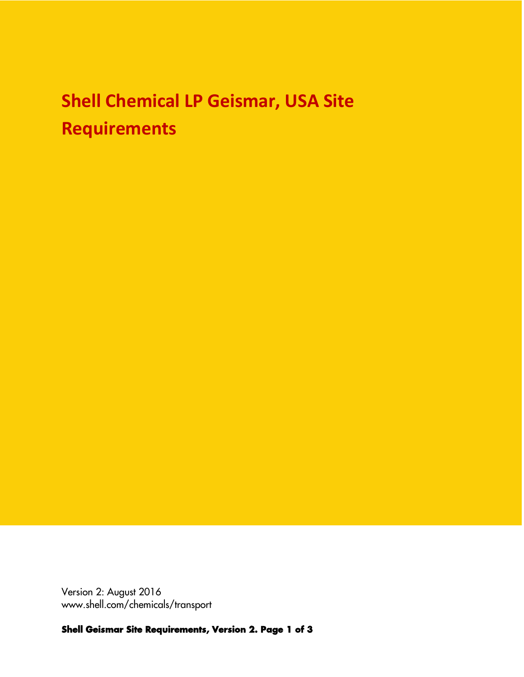## **Shell Chemical LP Geismar, USA Site Requirements**

Version 2: August 2016 www.shell.com/chemicals/transport

*Shell Geismar Site Requirements, Version 2. Page 1 of 3*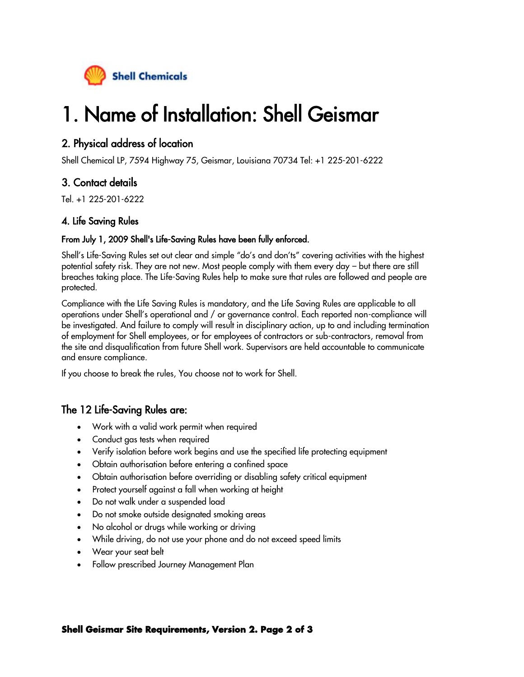

# 1. Name of Installation: Shell Geismar

#### 2. Physical address of location

Shell Chemical LP, 7594 Highway 75, Geismar, Louisiana 70734 Tel: +1 225-201-6222

### 3. Contact details

Tel. +1 225-201-6222

#### 4. Life Saving Rules

#### From July 1, 2009 Shell's Life-Saving Rules have been fully enforced.

Shell's Life-Saving Rules set out clear and simple "do's and don'ts" covering activities with the highest potential safety risk. They are not new. Most people comply with them every day – but there are still breaches taking place. The Life-Saving Rules help to make sure that rules are followed and people are protected.

Compliance with the Life Saving Rules is mandatory, and the Life Saving Rules are applicable to all operations under Shell's operational and / or governance control. Each reported non-compliance will be investigated. And failure to comply will result in disciplinary action, up to and including termination of employment for Shell employees, or for employees of contractors or sub-contractors, removal from the site and disqualification from future Shell work. Supervisors are held accountable to communicate and ensure compliance.

If you choose to break the rules, You choose not to work for Shell.

#### The 12 Life-Saving Rules are:

- Work with a valid work permit when required
- Conduct gas tests when required
- Verify isolation before work begins and use the specified life protecting equipment
- Obtain authorisation before entering a confined space
- Obtain authorisation before overriding or disabling safety critical equipment
- Protect yourself against a fall when working at height
- Do not walk under a suspended load
- Do not smoke outside designated smoking areas
- No alcohol or drugs while working or driving
- While driving, do not use your phone and do not exceed speed limits
- Wear your seat belt
- Follow prescribed Journey Management Plan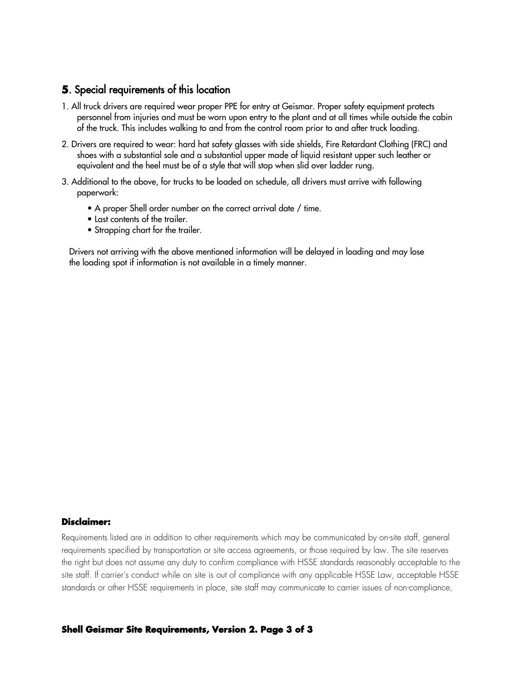#### *5*. Special requirements of this location

- 1. All truck drivers are required wear proper PPE for entry at Geismar. Proper safety equipment protects personnel from injuries and must be worn upon entry to the plant and at all times while outside the cabin of the truck. This includes walking to and from the control room prior to and after truck loading.
- 2. Drivers are required to wear: hard hat safety glasses with side shields, Fire Retardant Clothing (FRC) and shoes with a substantial sole and a substantial upper made of liquid resistant upper such leather or equivalent and the heel must be of a style that will stop when slid over ladder rung.
- 3. Additional to the above, for trucks to be loaded on schedule, all drivers must arrive with following paperwork:
	- A proper Shell order number on the correct arrival date / time.
	- Last contents of the trailer.
	- Strapping chart for the trailer.

Drivers not arriving with the above mentioned information will be delayed in loading and may lose the loading spot if information is not available in a timely manner.

#### *Disclaimer:*

Requirements listed are in addition to other requirements which may be communicated by on-site staff, general requirements specified by transportation or site access agreements, or those required by law. The site reserves the right but does not assume any duty to confirm compliance with HSSE standards reasonably acceptable to the site staff. If carrier's conduct while on site is out of compliance with any applicable HSSE Law, acceptable HSSE standards or other HSSE requirements in place, site staff may communicate to carrier issues of non-compliance,